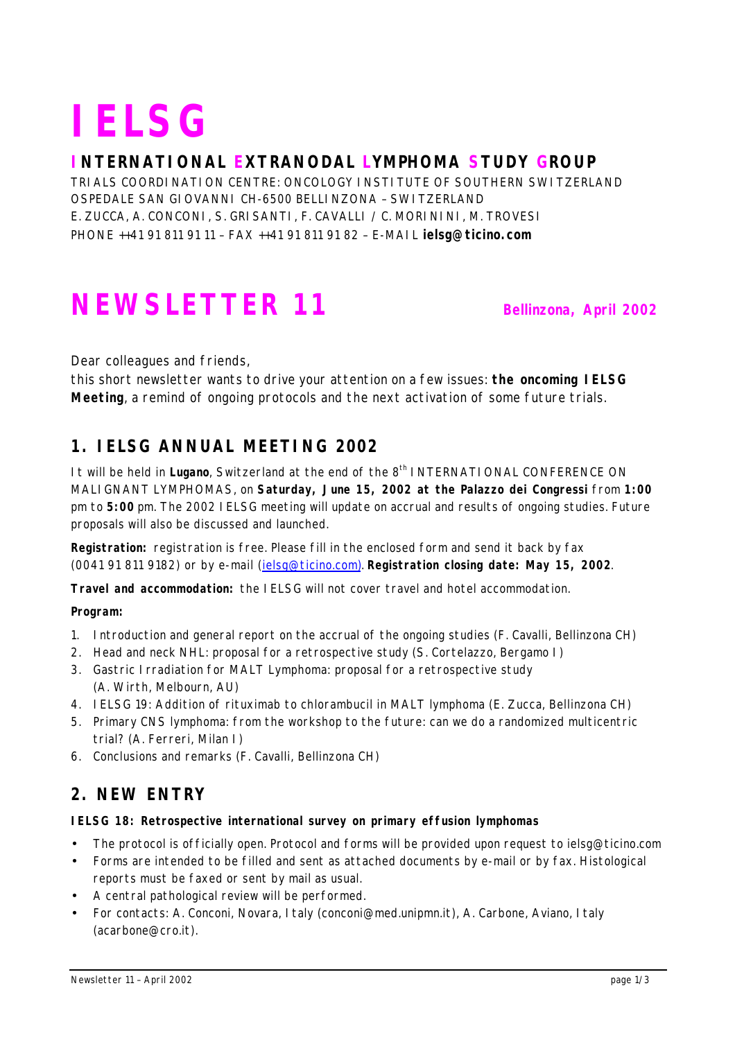# **IELSG**

#### **INTERNATIONAL EXTRANODAL LYMPHOMA STUDY GROUP**

TRIALS COORDINATION CENTRE: ONCOLOGY INSTITUTE OF SOUTHERN SWITZERLAND OSPEDALE SAN GIOVANNI CH-6500 BELLINZONA – SWITZERLAND E. ZUCCA, A. CONCONI, S. GRISANTI, F. CAVALLI / C. MORININI, M. TROVESI PHONE ++41 91 811 91 11 – FAX ++41 91 811 91 82 – E-MAIL **ielsg@ticino.com**

# **NEWSLETTER 11 Bellinzona, April 2002**

*Dear colleagues and friends,*

*this short newsletter wants to drive your attention on a few issues: the oncoming IELSG Meeting, a remind of ongoing protocols and the next activation of some future trials.*

# **1. IELSG ANNUAL MEETING 2002**

It will be held in Lugano, Switzerland at the end of the 8<sup>th</sup> INTERNATIONAL CONFERENCE ON MALIGNANT LYMPHOMAS, on **Saturday, June 15, 2002 at the Palazzo dei Congressi** from **1:00** pm to **5:00** pm. The 2002 IELSG meeting will update on accrual and results of ongoing studies. Future proposals will also be discussed and launched.

**Registration:** registration is free. Please fill in the enclosed form and send it back by fax (0041 91 811 9182) or by e-mail (ielsg@ticino.com). **Registration closing date: May 15, 2002**.

**Travel and accommodation:** the IELSG will not cover travel and hotel accommodation.

**Program:**

- 1. Introduction and general report on the accrual of the ongoing studies (F. Cavalli, Bellinzona CH)
- 2. Head and neck NHL: proposal for a retrospective study (S. Cortelazzo, Bergamo I)
- 3. Gastric Irradiation for MALT Lymphoma: proposal for a retrospective study (A. Wirth, Melbourn, AU)
- 4. IELSG 19: Addition of rituximab to chlorambucil in MALT lymphoma (E. Zucca, Bellinzona CH)
- 5. Primary CNS lymphoma: from the workshop to the future: can we do a randomized multicentric trial? (A. Ferreri, Milan I)
- 6. Conclusions and remarks (F. Cavalli, Bellinzona CH)

### **2. NEW ENTRY**

#### **IELSG 18: Retrospective international survey on primary effusion lymphomas**

- The protocol is officially open. Protocol and forms will be provided upon request to ielsg@ticino.com
- Forms are intended to be filled and sent as attached documents by e-mail or by fax. Histological reports must be faxed or sent by mail as usual.
- A central pathological review will be performed.
- For contacts: A. Conconi, Novara, Italy (conconi@med.unipmn.it), A. Carbone, Aviano, Italy (acarbone@cro.it).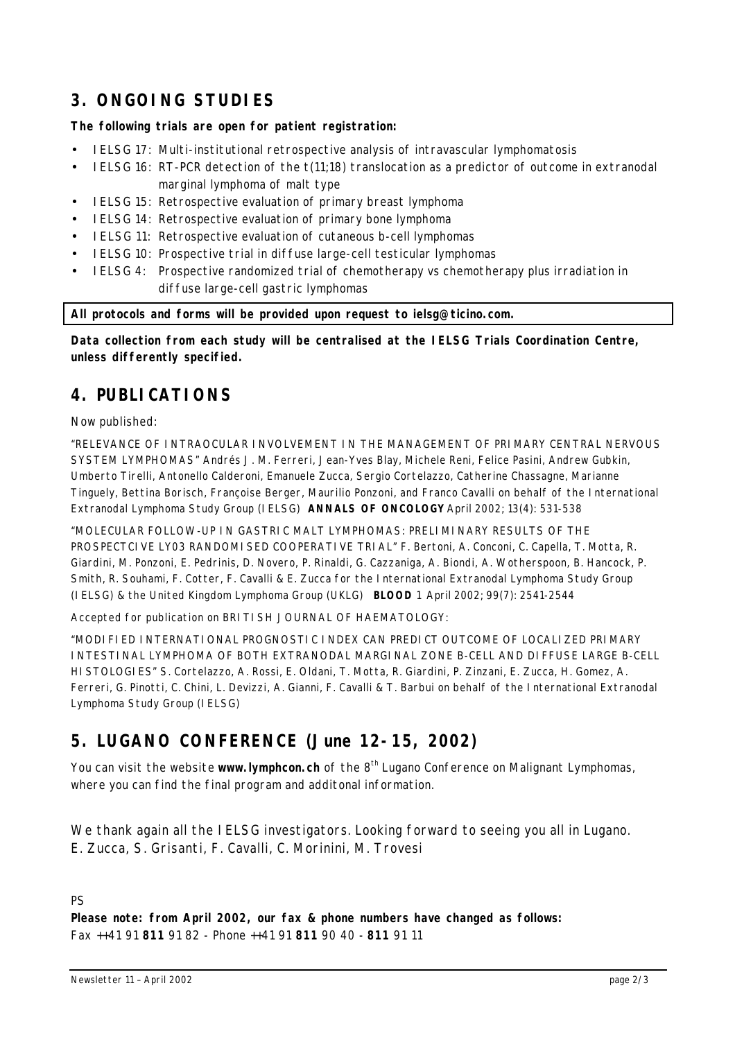# **3. ONGOING STUDIES**

#### **The following trials are open for patient registration:**

- IELSG 17: Multi-institutional retrospective analysis of intravascular lymphomatosis
- IELSG 16: RT-PCR detection of the t(11;18) translocation as a predictor of outcome in extranodal marginal lymphoma of malt type
- IELSG 15: Retrospective evaluation of primary breast lymphoma
- IELSG 14: Retrospective evaluation of primary bone lymphoma
- IELSG 11: Retrospective evaluation of cutaneous b-cell lymphomas
- IELSG 10: Prospective trial in diffuse large-cell testicular lymphomas
- IELSG 4: Prospective randomized trial of chemotherapy vs chemotherapy plus irradiation in diffuse large-cell gastric lymphomas

**All protocols and forms will be provided upon request to ielsg@ticino.com.**

**Data collection from each study will be centralised at the IELSG Trials Coordination Centre, unless differently specified.**

#### **4. PUBLICATIONS**

Now published:

"RELEVANCE OF INTRAOCULAR INVOLVEMENT IN THE MANAGEMENT OF PRIMARY CENTRAL NERVOUS SYSTEM LYMPHOMAS" *Andrés J. M. Ferreri, Jean-Yves Blay, Michele Reni, Felice Pasini, Andrew Gubkin, Umberto Tirelli, Antonello Calderoni, Emanuele Zucca, Sergio Cortelazzo, Catherine Chassagne, Marianne Tinguely, Bettina Borisch, Françoise Berger, Maurilio Ponzoni, and Franco Cavalli on behalf of the International Extranodal Lymphoma Study Group (IELSG)* **ANNALS OF ONCOLOGY** April 2002; 13(4): 531-538

"MOLECULAR FOLLOW-UP IN GASTRIC MALT LYMPHOMAS: PRELIMINARY RESULTS OF THE PROSPECTCIVE LY03 RANDOMISED COOPERATIVE TRIAL" *F. Bertoni, A. Conconi, C. Capella, T. Motta, R. Giardini, M. Ponzoni, E. Pedrinis, D. Novero, P. Rinaldi, G. Cazzaniga, A. Biondi, A. Wotherspoon, B. Hancock, P. Smith, R. Souhami, F. Cotter, F. Cavalli & E. Zucca for the International Extranodal Lymphoma Study Group (IELSG) & the United Kingdom Lymphoma Group (UKLG)* **BLOOD** 1 April 2002; 99(7): 2541-2544

Accepted for publication on BRITISH JOURNAL OF HAEMATOLOGY:

"MODIFIED INTERNATIONAL PROGNOSTIC INDEX CAN PREDICT OUTCOME OF LOCALIZED PRIMARY INTESTINAL LYMPHOMA OF BOTH EXTRANODAL MARGINAL ZONE B-CELL AND DIFFUSE LARGE B-CELL HISTOLOGIES*" S. Cortelazzo, A. Rossi, E. Oldani, T. Motta, R. Giardini, P. Zinzani, E. Zucca, H. Gomez, A. Ferreri, G. Pinotti, C. Chini, L. Devizzi, A. Gianni, F. Cavalli & T. Barbui on behalf of the International Extranodal Lymphoma Study Group (IELSG)*

### **5. LUGANO CONFERENCE (June 12-15, 2002)**

You can visit the website **www.lymphcon.ch** of the 8<sup>th</sup> Lugano Conference on Malignant Lymphomas, where you can find the final program and additonal information.

*We thank again all the IELSG investigators. Looking forward to seeing you all in Lugano. E. Zucca, S. Grisanti, F. Cavalli, C. Morinini, M. Trovesi*

PS

**Please note: from April 2002, our fax & phone numbers have changed as follows:** Fax ++41 91 **811** 91 82 - Phone ++41 91 **811** 90 40 - **811** 91 11